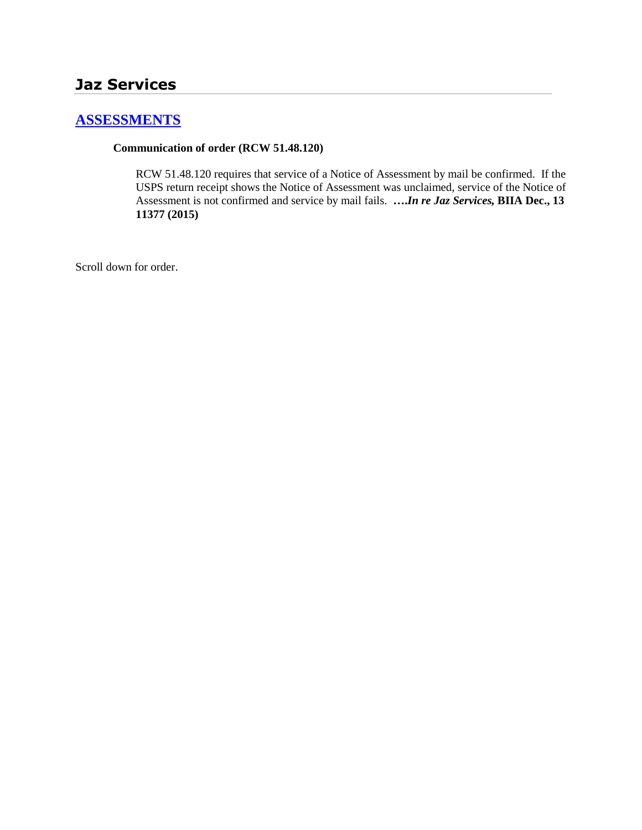# **[ASSESSMENTS](http://www.biia.wa.gov/SDSubjectIndex.html#ASSESSMENTS)**

#### **Communication of order (RCW 51.48.120)**

RCW 51.48.120 requires that service of a Notice of Assessment by mail be confirmed. If the USPS return receipt shows the Notice of Assessment was unclaimed, service of the Notice of Assessment is not confirmed and service by mail fails. **….***In re Jaz Services,* **BIIA Dec., 13 11377 (2015)**

Scroll down for order.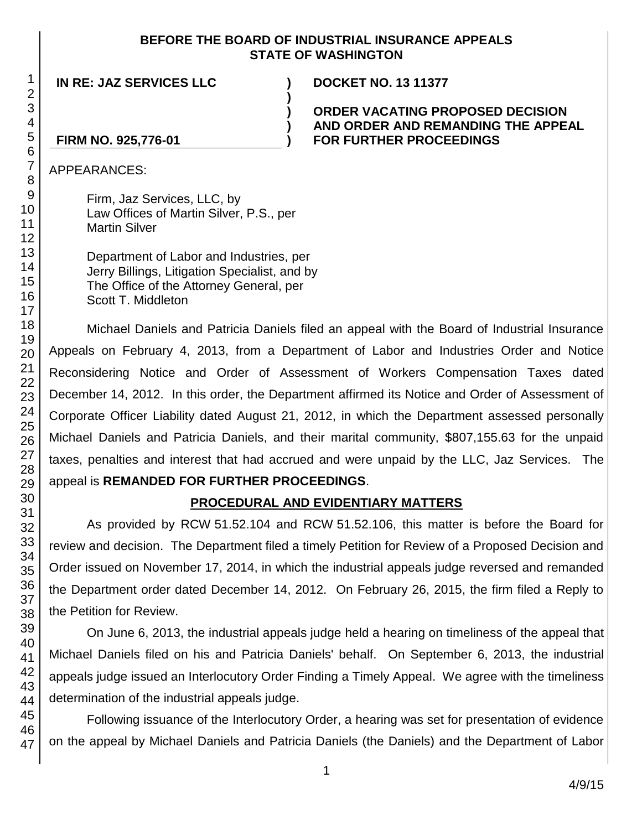#### **BEFORE THE BOARD OF INDUSTRIAL INSURANCE APPEALS STATE OF WASHINGTON**

**)**

**) ) )**

**IN RE: JAZ SERVICES LLC ) DOCKET NO. 13 11377**

**ORDER VACATING PROPOSED DECISION AND ORDER AND REMANDING THE APPEAL FOR FURTHER PROCEEDINGS** 

### **FIRM NO. 925,776-01**

APPEARANCES:

Firm, Jaz Services, LLC, by Law Offices of Martin Silver, P.S., per Martin Silver

Department of Labor and Industries, per Jerry Billings, Litigation Specialist, and by The Office of the Attorney General, per Scott T. Middleton

Michael Daniels and Patricia Daniels filed an appeal with the Board of Industrial Insurance Appeals on February 4, 2013, from a Department of Labor and Industries Order and Notice Reconsidering Notice and Order of Assessment of Workers Compensation Taxes dated December 14, 2012. In this order, the Department affirmed its Notice and Order of Assessment of Corporate Officer Liability dated August 21, 2012, in which the Department assessed personally Michael Daniels and Patricia Daniels, and their marital community, \$807,155.63 for the unpaid taxes, penalties and interest that had accrued and were unpaid by the LLC, Jaz Services. The appeal is **REMANDED FOR FURTHER PROCEEDINGS**.

# **PROCEDURAL AND EVIDENTIARY MATTERS**

As provided by RCW 51.52.104 and RCW 51.52.106, this matter is before the Board for review and decision. The Department filed a timely Petition for Review of a Proposed Decision and Order issued on November 17, 2014, in which the industrial appeals judge reversed and remanded the Department order dated December 14, 2012. On February 26, 2015, the firm filed a Reply to the Petition for Review.

On June 6, 2013, the industrial appeals judge held a hearing on timeliness of the appeal that Michael Daniels filed on his and Patricia Daniels' behalf. On September 6, 2013, the industrial appeals judge issued an Interlocutory Order Finding a Timely Appeal. We agree with the timeliness determination of the industrial appeals judge.

Following issuance of the Interlocutory Order, a hearing was set for presentation of evidence on the appeal by Michael Daniels and Patricia Daniels (the Daniels) and the Department of Labor

1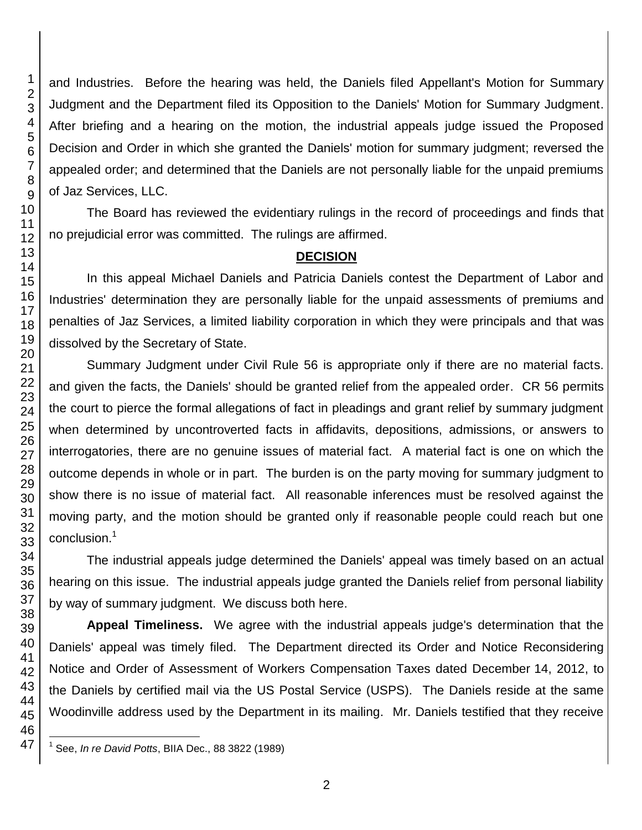and Industries. Before the hearing was held, the Daniels filed Appellant's Motion for Summary Judgment and the Department filed its Opposition to the Daniels' Motion for Summary Judgment. After briefing and a hearing on the motion, the industrial appeals judge issued the Proposed Decision and Order in which she granted the Daniels' motion for summary judgment; reversed the appealed order; and determined that the Daniels are not personally liable for the unpaid premiums of Jaz Services, LLC.

The Board has reviewed the evidentiary rulings in the record of proceedings and finds that no prejudicial error was committed. The rulings are affirmed.

#### **DECISION**

In this appeal Michael Daniels and Patricia Daniels contest the Department of Labor and Industries' determination they are personally liable for the unpaid assessments of premiums and penalties of Jaz Services, a limited liability corporation in which they were principals and that was dissolved by the Secretary of State.

Summary Judgment under Civil Rule 56 is appropriate only if there are no material facts. and given the facts, the Daniels' should be granted relief from the appealed order. CR 56 permits the court to pierce the formal allegations of fact in pleadings and grant relief by summary judgment when determined by uncontroverted facts in affidavits, depositions, admissions, or answers to interrogatories, there are no genuine issues of material fact. A material fact is one on which the outcome depends in whole or in part. The burden is on the party moving for summary judgment to show there is no issue of material fact. All reasonable inferences must be resolved against the moving party, and the motion should be granted only if reasonable people could reach but one conclusion. 1

The industrial appeals judge determined the Daniels' appeal was timely based on an actual hearing on this issue. The industrial appeals judge granted the Daniels relief from personal liability by way of summary judgment. We discuss both here.

**Appeal Timeliness.** We agree with the industrial appeals judge's determination that the Daniels' appeal was timely filed. The Department directed its Order and Notice Reconsidering Notice and Order of Assessment of Workers Compensation Taxes dated December 14, 2012, to the Daniels by certified mail via the US Postal Service (USPS). The Daniels reside at the same Woodinville address used by the Department in its mailing. Mr. Daniels testified that they receive

 $\overline{\phantom{a}}$ See, *In re David Potts*, BIIA Dec., 88 3822 (1989)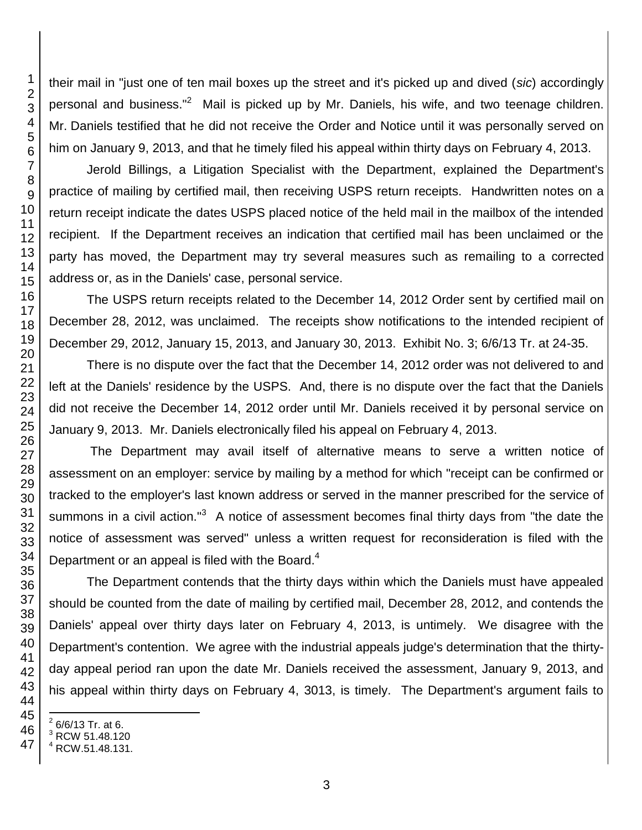their mail in "just one of ten mail boxes up the street and it's picked up and dived (*sic*) accordingly personal and business."<sup>2</sup> Mail is picked up by Mr. Daniels, his wife, and two teenage children. Mr. Daniels testified that he did not receive the Order and Notice until it was personally served on him on January 9, 2013, and that he timely filed his appeal within thirty days on February 4, 2013.

Jerold Billings, a Litigation Specialist with the Department, explained the Department's practice of mailing by certified mail, then receiving USPS return receipts. Handwritten notes on a return receipt indicate the dates USPS placed notice of the held mail in the mailbox of the intended recipient. If the Department receives an indication that certified mail has been unclaimed or the party has moved, the Department may try several measures such as remailing to a corrected address or, as in the Daniels' case, personal service.

The USPS return receipts related to the December 14, 2012 Order sent by certified mail on December 28, 2012, was unclaimed. The receipts show notifications to the intended recipient of December 29, 2012, January 15, 2013, and January 30, 2013. Exhibit No. 3; 6/6/13 Tr. at 24-35.

There is no dispute over the fact that the December 14, 2012 order was not delivered to and left at the Daniels' residence by the USPS. And, there is no dispute over the fact that the Daniels did not receive the December 14, 2012 order until Mr. Daniels received it by personal service on January 9, 2013. Mr. Daniels electronically filed his appeal on February 4, 2013.

The Department may avail itself of alternative means to serve a written notice of assessment on an employer: service by mailing by a method for which "receipt can be confirmed or tracked to the employer's last known address or served in the manner prescribed for the service of summons in a civil action."<sup>3</sup> A notice of assessment becomes final thirty days from "the date the notice of assessment was served" unless a written request for reconsideration is filed with the Department or an appeal is filed with the Board.

The Department contends that the thirty days within which the Daniels must have appealed should be counted from the date of mailing by certified mail, December 28, 2012, and contends the Daniels' appeal over thirty days later on February 4, 2013, is untimely. We disagree with the Department's contention. We agree with the industrial appeals judge's determination that the thirtyday appeal period ran upon the date Mr. Daniels received the assessment, January 9, 2013, and his appeal within thirty days on February 4, 3013, is timely. The Department's argument fails to

 6/6/13 Tr. at 6.

l

RCW 51.48.120

RCW.51.48.131.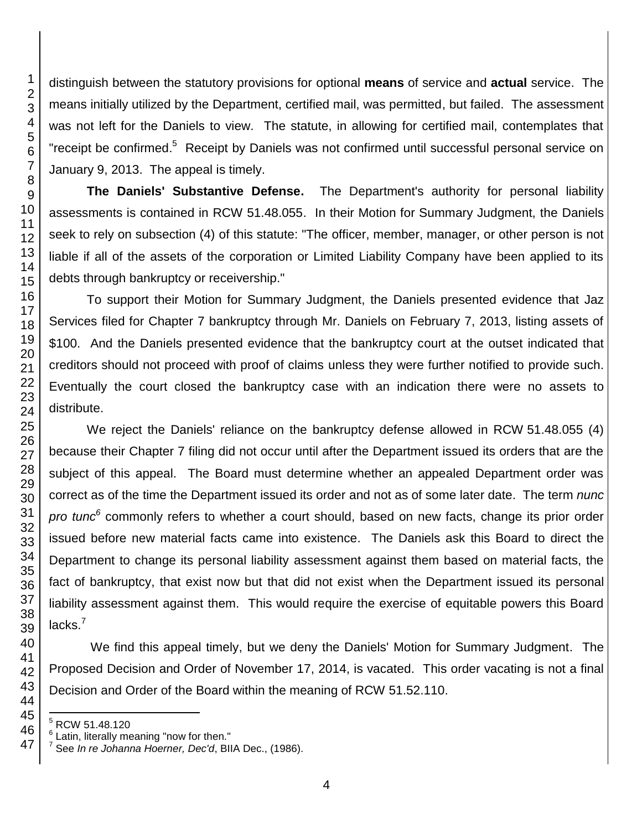distinguish between the statutory provisions for optional **means** of service and **actual** service. The means initially utilized by the Department, certified mail, was permitted, but failed. The assessment was not left for the Daniels to view. The statute, in allowing for certified mail, contemplates that "receipt be confirmed.<sup>5</sup> Receipt by Daniels was not confirmed until successful personal service on January 9, 2013. The appeal is timely.

**The Daniels' Substantive Defense.** The Department's authority for personal liability assessments is contained in RCW 51.48.055. In their Motion for Summary Judgment, the Daniels seek to rely on subsection (4) of this statute: "The officer, member, manager, or other person is not liable if all of the assets of the corporation or Limited Liability Company have been applied to its debts through bankruptcy or receivership."

To support their Motion for Summary Judgment, the Daniels presented evidence that Jaz Services filed for Chapter 7 bankruptcy through Mr. Daniels on February 7, 2013, listing assets of \$100. And the Daniels presented evidence that the bankruptcy court at the outset indicated that creditors should not proceed with proof of claims unless they were further notified to provide such. Eventually the court closed the bankruptcy case with an indication there were no assets to distribute.

We reject the Daniels' reliance on the bankruptcy defense allowed in RCW 51.48.055 (4) because their Chapter 7 filing did not occur until after the Department issued its orders that are the subject of this appeal. The Board must determine whether an appealed Department order was correct as of the time the Department issued its order and not as of some later date. The term *nunc pro tunc<sup>6</sup>* commonly refers to whether a court should, based on new facts, change its prior order issued before new material facts came into existence. The Daniels ask this Board to direct the Department to change its personal liability assessment against them based on material facts, the fact of bankruptcy, that exist now but that did not exist when the Department issued its personal liability assessment against them. This would require the exercise of equitable powers this Board lacks. $<sup>7</sup>$ </sup>

We find this appeal timely, but we deny the Daniels' Motion for Summary Judgment. The Proposed Decision and Order of November 17, 2014, is vacated. This order vacating is not a final Decision and Order of the Board within the meaning of RCW 51.52.110.

l

RCW 51.48.120

<sup>&</sup>lt;sup>6</sup> Latin, literally meaning "now for then."<br><sup>7</sup> See In to Johanne Hearner, Dea'd Bl

See *In re Johanna Hoerner, Dec'd*, BIIA Dec., (1986).